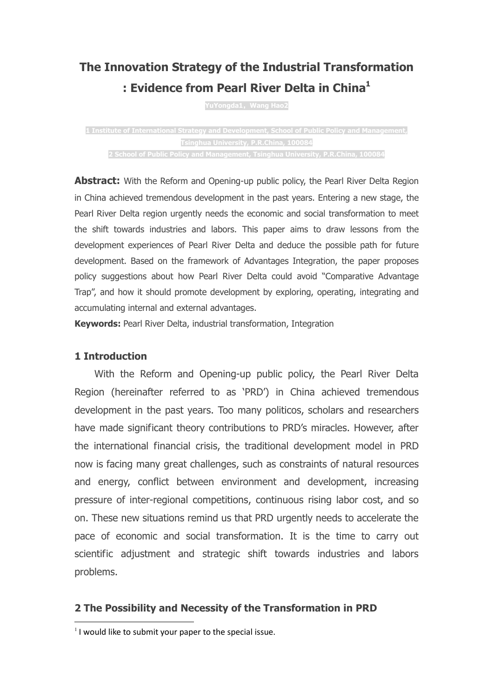# The Innovation Strategy of the Industrial Transformation : Evidence from Pearl River Delta in China<sup>1</sup>

YuYongda1, Wang Hao2

1 Institute of International Strategy and Development, School of Public Policy and Management, Tsinghua University, P.R.China, 100084 2 School of Public Policy and Management, Tsinghua University, P.R.China, 100084

**Abstract:** With the Reform and Opening-up public policy, the Pearl River Delta Region in China achieved tremendous development in the past years. Entering a new stage, the Pearl River Delta region urgently needs the economic and social transformation to meet the shift towards industries and labors. This paper aims to draw lessons from the development experiences of Pearl River Delta and deduce the possible path for future development. Based on the framework of Advantages Integration, the paper proposes policy suggestions about how Pearl River Delta could avoid "Comparative Advantage Trap", and how it should promote development by exploring, operating, integrating and accumulating internal and external advantages.

Keywords: Pearl River Delta, industrial transformation, Integration

# 1 Introduction

 $\ddot{ }$ 

With the Reform and Opening-up public policy, the Pearl River Delta Region (hereinafter referred to as 'PRD') in China achieved tremendous development in the past years. Too many politicos, scholars and researchers have made significant theory contributions to PRD's miracles. However, after the international financial crisis, the traditional development model in PRD now is facing many great challenges, such as constraints of natural resources and energy, conflict between environment and development, increasing pressure of inter-regional competitions, continuous rising labor cost, and so on. These new situations remind us that PRD urgently needs to accelerate the pace of economic and social transformation. It is the time to carry out scientific adjustment and strategic shift towards industries and labors problems.

# 2 The Possibility and Necessity of the Transformation in PRD

 $<sup>1</sup>$  I would like to submit your paper to the special issue.</sup>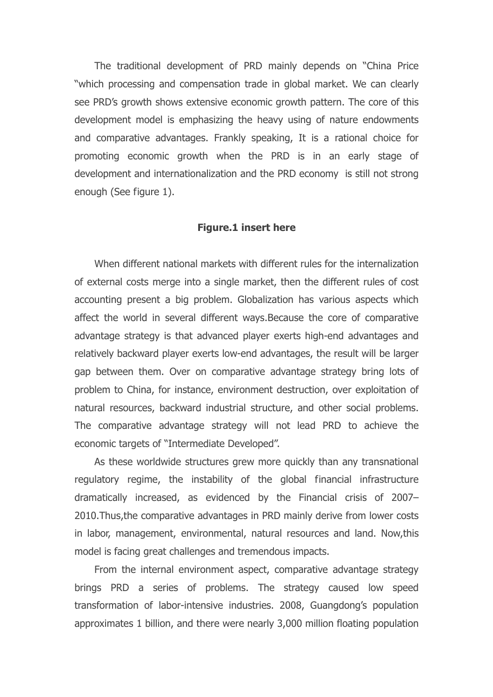The traditional development of PRD mainly depends on "China Price "which processing and compensation trade in global market. We can clearly see PRD's growth shows extensive economic growth pattern. The core of this development model is emphasizing the heavy using of nature endowments and comparative advantages. Frankly speaking, It is a rational choice for promoting economic growth when the PRD is in an early stage of development and internationalization and the PRD economy is still not strong enough (See figure 1).

#### Figure.1 insert here

When different national markets with different rules for the internalization of external costs merge into a single market, then the different rules of cost accounting present a big problem. Globalization has various aspects which affect the world in several different ways.Because the core of comparative advantage strategy is that advanced player exerts high-end advantages and relatively backward player exerts low-end advantages, the result will be larger gap between them. Over on comparative advantage strategy bring lots of problem to China, for instance, environment destruction, over exploitation of natural resources, backward industrial structure, and other social problems. The comparative advantage strategy will not lead PRD to achieve the economic targets of "Intermediate Developed".

As these worldwide structures grew more quickly than any transnational regulatory regime, the instability of the global financial infrastructure dramatically increased, as evidenced by the Financial crisis of 2007– 2010.Thus,the comparative advantages in PRD mainly derive from lower costs in labor, management, environmental, natural resources and land. Now,this model is facing great challenges and tremendous impacts.

From the internal environment aspect, comparative advantage strategy brings PRD a series of problems. The strategy caused low speed transformation of labor-intensive industries. 2008, Guangdong's population approximates 1 billion, and there were nearly 3,000 million floating population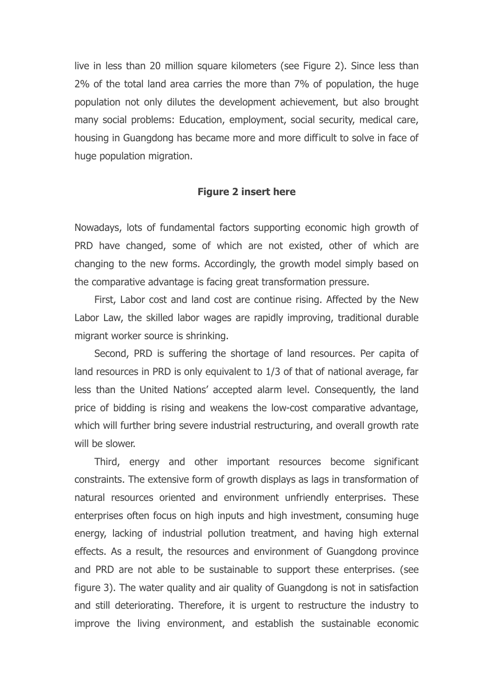live in less than 20 million square kilometers (see Figure 2). Since less than 2% of the total land area carries the more than 7% of population, the huge population not only dilutes the development achievement, but also brought many social problems: Education, employment, social security, medical care, housing in Guangdong has became more and more difficult to solve in face of huge population migration.

#### Figure 2 insert here

Nowadays, lots of fundamental factors supporting economic high growth of PRD have changed, some of which are not existed, other of which are changing to the new forms. Accordingly, the growth model simply based on the comparative advantage is facing great transformation pressure.

First, Labor cost and land cost are continue rising. Affected by the New Labor Law, the skilled labor wages are rapidly improving, traditional durable migrant worker source is shrinking.

Second, PRD is suffering the shortage of land resources. Per capita of land resources in PRD is only equivalent to 1/3 of that of national average, far less than the United Nations' accepted alarm level. Consequently, the land price of bidding is rising and weakens the low-cost comparative advantage, which will further bring severe industrial restructuring, and overall growth rate will be slower.

Third, energy and other important resources become significant constraints. The extensive form of growth displays as lags in transformation of natural resources oriented and environment unfriendly enterprises. These enterprises often focus on high inputs and high investment, consuming huge energy, lacking of industrial pollution treatment, and having high external effects. As a result, the resources and environment of Guangdong province and PRD are not able to be sustainable to support these enterprises. (see figure 3). The water quality and air quality of Guangdong is not in satisfaction and still deteriorating. Therefore, it is urgent to restructure the industry to improve the living environment, and establish the sustainable economic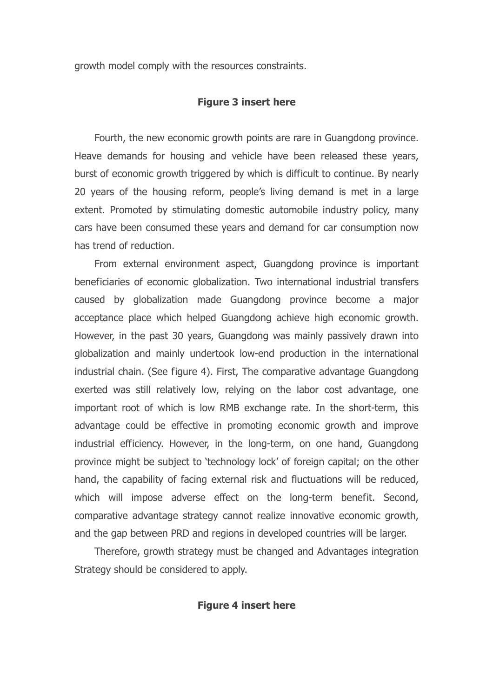growth model comply with the resources constraints.

# Figure 3 insert here

Fourth, the new economic growth points are rare in Guangdong province. Heave demands for housing and vehicle have been released these years, burst of economic growth triggered by which is difficult to continue. By nearly 20 years of the housing reform, people's living demand is met in a large extent. Promoted by stimulating domestic automobile industry policy, many cars have been consumed these years and demand for car consumption now has trend of reduction.

From external environment aspect, Guangdong province is important beneficiaries of economic globalization. Two international industrial transfers caused by globalization made Guangdong province become a major acceptance place which helped Guangdong achieve high economic growth. However, in the past 30 years, Guangdong was mainly passively drawn into globalization and mainly undertook low-end production in the international industrial chain. (See figure 4). First, The comparative advantage Guangdong exerted was still relatively low, relying on the labor cost advantage, one important root of which is low RMB exchange rate. In the short-term, this advantage could be effective in promoting economic growth and improve industrial efficiency. However, in the long-term, on one hand, Guangdong province might be subject to 'technology lock' of foreign capital; on the other hand, the capability of facing external risk and fluctuations will be reduced, which will impose adverse effect on the long-term benefit. Second, comparative advantage strategy cannot realize innovative economic growth, and the gap between PRD and regions in developed countries will be larger.

Therefore, growth strategy must be changed and Advantages integration Strategy should be considered to apply.

# Figure 4 insert here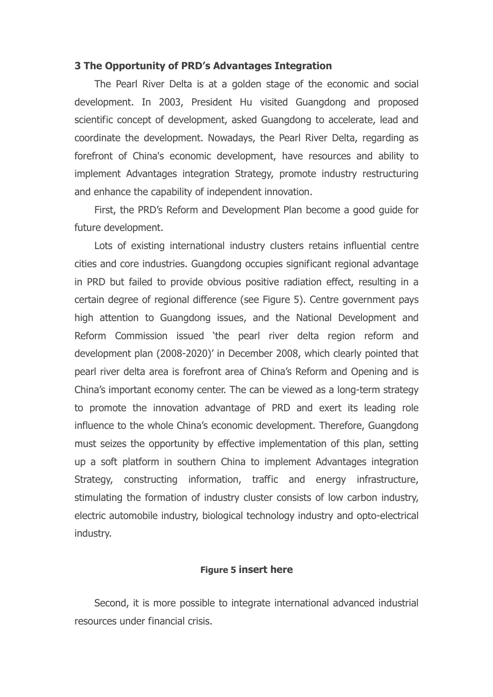#### 3 The Opportunity of PRD's Advantages Integration

The Pearl River Delta is at a golden stage of the economic and social development. In 2003, President Hu visited Guangdong and proposed scientific concept of development, asked Guangdong to accelerate, lead and coordinate the development. Nowadays, the Pearl River Delta, regarding as forefront of China's economic development, have resources and ability to implement Advantages integration Strategy, promote industry restructuring and enhance the capability of independent innovation.

First, the PRD's Reform and Development Plan become a good guide for future development.

Lots of existing international industry clusters retains influential centre cities and core industries. Guangdong occupies significant regional advantage in PRD but failed to provide obvious positive radiation effect, resulting in a certain degree of regional difference (see Figure 5). Centre government pays high attention to Guangdong issues, and the National Development and Reform Commission issued 'the pearl river delta region reform and development plan (2008-2020)' in December 2008, which clearly pointed that pearl river delta area is forefront area of China's Reform and Opening and is China's important economy center. The can be viewed as a long-term strategy to promote the innovation advantage of PRD and exert its leading role influence to the whole China's economic development. Therefore, Guangdong must seizes the opportunity by effective implementation of this plan, setting up a soft platform in southern China to implement Advantages integration Strategy, constructing information, traffic and energy infrastructure, stimulating the formation of industry cluster consists of low carbon industry, electric automobile industry, biological technology industry and opto-electrical industry.

# Figure 5 insert here

Second, it is more possible to integrate international advanced industrial resources under financial crisis.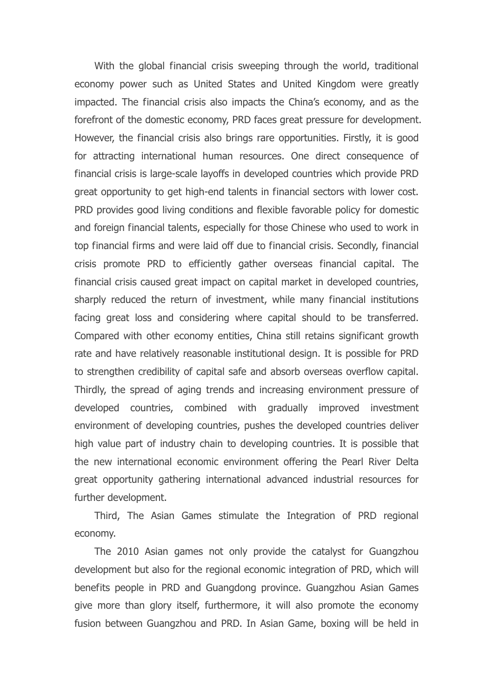With the global financial crisis sweeping through the world, traditional economy power such as United States and United Kingdom were greatly impacted. The financial crisis also impacts the China's economy, and as the forefront of the domestic economy, PRD faces great pressure for development. However, the financial crisis also brings rare opportunities. Firstly, it is good for attracting international human resources. One direct consequence of financial crisis is large-scale layoffs in developed countries which provide PRD great opportunity to get high-end talents in financial sectors with lower cost. PRD provides good living conditions and flexible favorable policy for domestic and foreign financial talents, especially for those Chinese who used to work in top financial firms and were laid off due to financial crisis. Secondly, financial crisis promote PRD to efficiently gather overseas financial capital. The financial crisis caused great impact on capital market in developed countries, sharply reduced the return of investment, while many financial institutions facing great loss and considering where capital should to be transferred. Compared with other economy entities, China still retains significant growth rate and have relatively reasonable institutional design. It is possible for PRD to strengthen credibility of capital safe and absorb overseas overflow capital. Thirdly, the spread of aging trends and increasing environment pressure of developed countries, combined with gradually improved investment environment of developing countries, pushes the developed countries deliver high value part of industry chain to developing countries. It is possible that the new international economic environment offering the Pearl River Delta great opportunity gathering international advanced industrial resources for further development.

Third, The Asian Games stimulate the Integration of PRD regional economy.

The 2010 Asian games not only provide the catalyst for Guangzhou development but also for the regional economic integration of PRD, which will benefits people in PRD and Guangdong province. Guangzhou Asian Games give more than glory itself, furthermore, it will also promote the economy fusion between Guangzhou and PRD. In Asian Game, boxing will be held in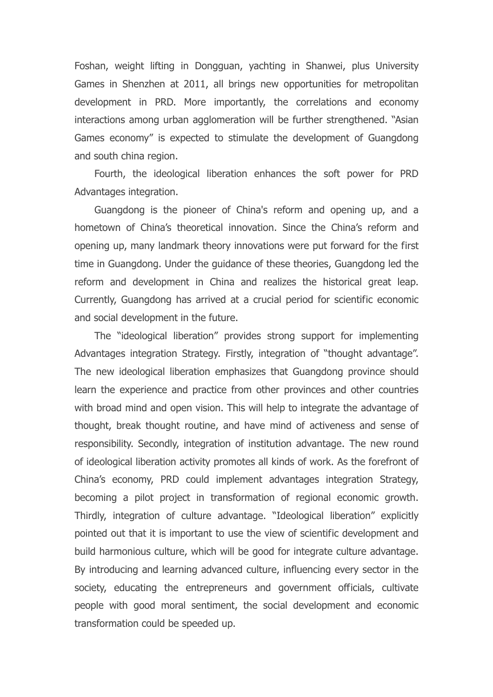Foshan, weight lifting in Dongguan, yachting in Shanwei, plus University Games in Shenzhen at 2011, all brings new opportunities for metropolitan development in PRD. More importantly, the correlations and economy interactions among urban agglomeration will be further strengthened. "Asian Games economy" is expected to stimulate the development of Guangdong and south china region.

Fourth, the ideological liberation enhances the soft power for PRD Advantages integration.

Guangdong is the pioneer of China's reform and opening up, and a hometown of China's theoretical innovation. Since the China's reform and opening up, many landmark theory innovations were put forward for the first time in Guangdong. Under the guidance of these theories, Guangdong led the reform and development in China and realizes the historical great leap. Currently, Guangdong has arrived at a crucial period for scientific economic and social development in the future.

The "ideological liberation" provides strong support for implementing Advantages integration Strategy. Firstly, integration of "thought advantage". The new ideological liberation emphasizes that Guangdong province should learn the experience and practice from other provinces and other countries with broad mind and open vision. This will help to integrate the advantage of thought, break thought routine, and have mind of activeness and sense of responsibility. Secondly, integration of institution advantage. The new round of ideological liberation activity promotes all kinds of work. As the forefront of China's economy, PRD could implement advantages integration Strategy, becoming a pilot project in transformation of regional economic growth. Thirdly, integration of culture advantage. "Ideological liberation" explicitly pointed out that it is important to use the view of scientific development and build harmonious culture, which will be good for integrate culture advantage. By introducing and learning advanced culture, influencing every sector in the society, educating the entrepreneurs and government officials, cultivate people with good moral sentiment, the social development and economic transformation could be speeded up.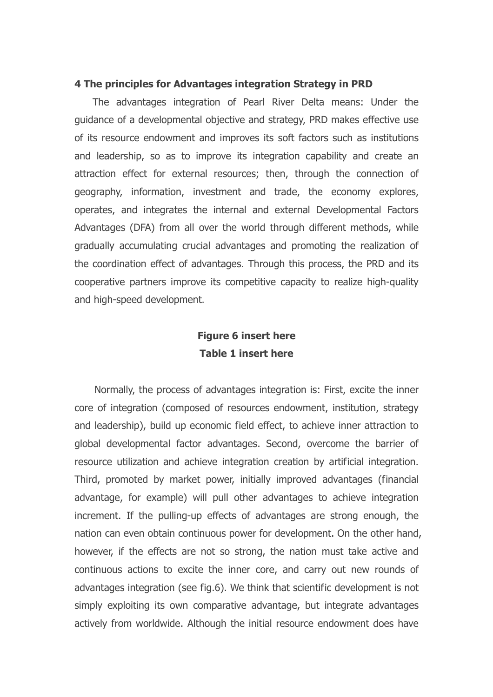#### 4 The principles for Advantages integration Strategy in PRD

The advantages integration of Pearl River Delta means: Under the guidance of a developmental objective and strategy, PRD makes effective use of its resource endowment and improves its soft factors such as institutions and leadership, so as to improve its integration capability and create an attraction effect for external resources; then, through the connection of geography, information, investment and trade, the economy explores, operates, and integrates the internal and external Developmental Factors Advantages (DFA) from all over the world through different methods, while gradually accumulating crucial advantages and promoting the realization of the coordination effect of advantages. Through this process, the PRD and its cooperative partners improve its competitive capacity to realize high-quality and high-speed development.

# Figure 6 insert here Table 1 insert here

Normally, the process of advantages integration is: First, excite the inner core of integration (composed of resources endowment, institution, strategy and leadership), build up economic field effect, to achieve inner attraction to global developmental factor advantages. Second, overcome the barrier of resource utilization and achieve integration creation by artificial integration. Third, promoted by market power, initially improved advantages (financial advantage, for example) will pull other advantages to achieve integration increment. If the pulling-up effects of advantages are strong enough, the nation can even obtain continuous power for development. On the other hand, however, if the effects are not so strong, the nation must take active and continuous actions to excite the inner core, and carry out new rounds of advantages integration (see fig.6). We think that scientific development is not simply exploiting its own comparative advantage, but integrate advantages actively from worldwide. Although the initial resource endowment does have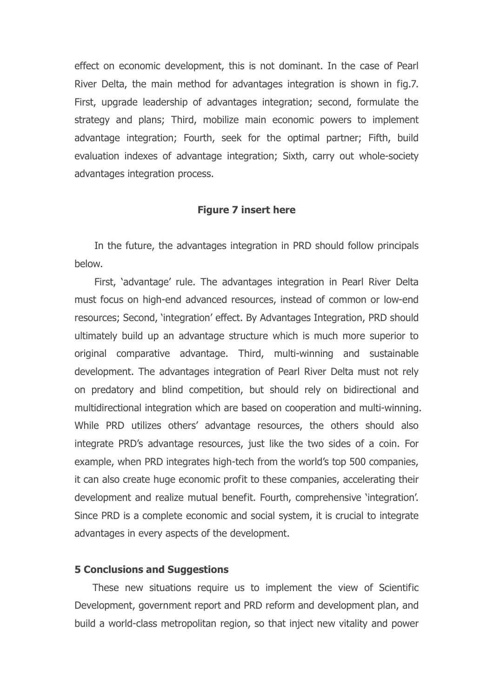effect on economic development, this is not dominant. In the case of Pearl River Delta, the main method for advantages integration is shown in fig.7. First, upgrade leadership of advantages integration; second, formulate the strategy and plans; Third, mobilize main economic powers to implement advantage integration; Fourth, seek for the optimal partner; Fifth, build evaluation indexes of advantage integration; Sixth, carry out whole-society advantages integration process.

#### Figure 7 insert here

In the future, the advantages integration in PRD should follow principals below.

First, 'advantage' rule. The advantages integration in Pearl River Delta must focus on high-end advanced resources, instead of common or low-end resources; Second, 'integration' effect. By Advantages Integration, PRD should ultimately build up an advantage structure which is much more superior to original comparative advantage. Third, multi-winning and sustainable development. The advantages integration of Pearl River Delta must not rely on predatory and blind competition, but should rely on bidirectional and multidirectional integration which are based on cooperation and multi-winning. While PRD utilizes others' advantage resources, the others should also integrate PRD's advantage resources, just like the two sides of a coin. For example, when PRD integrates high-tech from the world's top 500 companies, it can also create huge economic profit to these companies, accelerating their development and realize mutual benefit. Fourth, comprehensive 'integration'. Since PRD is a complete economic and social system, it is crucial to integrate advantages in every aspects of the development.

#### 5 Conclusions and Suggestions

These new situations require us to implement the view of Scientific Development, government report and PRD reform and development plan, and build a world-class metropolitan region, so that inject new vitality and power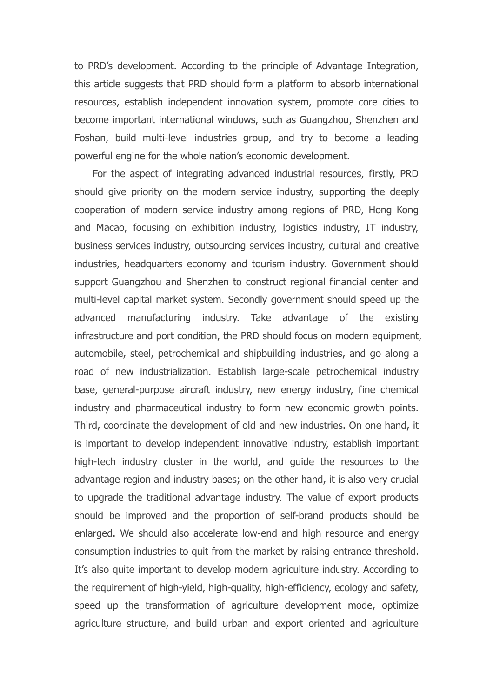to PRD's development. According to the principle of Advantage Integration, this article suggests that PRD should form a platform to absorb international resources, establish independent innovation system, promote core cities to become important international windows, such as Guangzhou, Shenzhen and Foshan, build multi-level industries group, and try to become a leading powerful engine for the whole nation's economic development.

For the aspect of integrating advanced industrial resources, firstly, PRD should give priority on the modern service industry, supporting the deeply cooperation of modern service industry among regions of PRD, Hong Kong and Macao, focusing on exhibition industry, logistics industry, IT industry, business services industry, outsourcing services industry, cultural and creative industries, headquarters economy and tourism industry. Government should support Guangzhou and Shenzhen to construct regional financial center and multi-level capital market system. Secondly government should speed up the advanced manufacturing industry. Take advantage of the existing infrastructure and port condition, the PRD should focus on modern equipment, automobile, steel, petrochemical and shipbuilding industries, and go along a road of new industrialization. Establish large-scale petrochemical industry base, general-purpose aircraft industry, new energy industry, fine chemical industry and pharmaceutical industry to form new economic growth points. Third, coordinate the development of old and new industries. On one hand, it is important to develop independent innovative industry, establish important high-tech industry cluster in the world, and guide the resources to the advantage region and industry bases; on the other hand, it is also very crucial to upgrade the traditional advantage industry. The value of export products should be improved and the proportion of self-brand products should be enlarged. We should also accelerate low-end and high resource and energy consumption industries to quit from the market by raising entrance threshold. It's also quite important to develop modern agriculture industry. According to the requirement of high-yield, high-quality, high-efficiency, ecology and safety, speed up the transformation of agriculture development mode, optimize agriculture structure, and build urban and export oriented and agriculture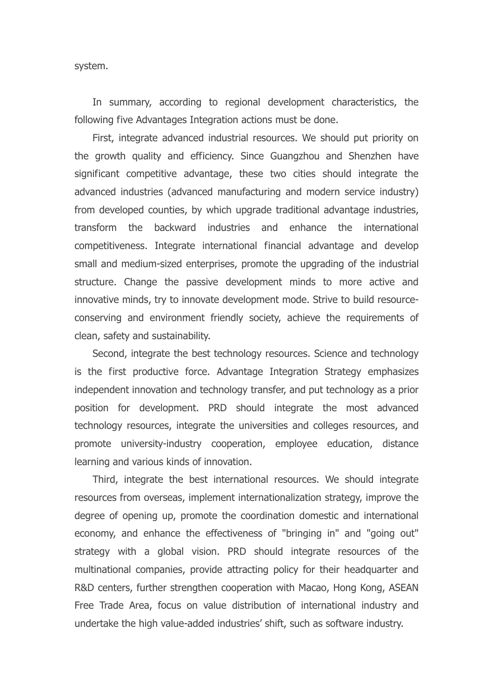system.

In summary, according to regional development characteristics, the following five Advantages Integration actions must be done.

First, integrate advanced industrial resources. We should put priority on the growth quality and efficiency. Since Guangzhou and Shenzhen have significant competitive advantage, these two cities should integrate the advanced industries (advanced manufacturing and modern service industry) from developed counties, by which upgrade traditional advantage industries, transform the backward industries and enhance the international competitiveness. Integrate international financial advantage and develop small and medium-sized enterprises, promote the upgrading of the industrial structure. Change the passive development minds to more active and innovative minds, try to innovate development mode. Strive to build resourceconserving and environment friendly society, achieve the requirements of clean, safety and sustainability.

Second, integrate the best technology resources. Science and technology is the first productive force. Advantage Integration Strategy emphasizes independent innovation and technology transfer, and put technology as a prior position for development. PRD should integrate the most advanced technology resources, integrate the universities and colleges resources, and promote university-industry cooperation, employee education, distance learning and various kinds of innovation.

Third, integrate the best international resources. We should integrate resources from overseas, implement internationalization strategy, improve the degree of opening up, promote the coordination domestic and international economy, and enhance the effectiveness of "bringing in" and "going out" strategy with a global vision. PRD should integrate resources of the multinational companies, provide attracting policy for their headquarter and R&D centers, further strengthen cooperation with Macao, Hong Kong, ASEAN Free Trade Area, focus on value distribution of international industry and undertake the high value-added industries' shift, such as software industry.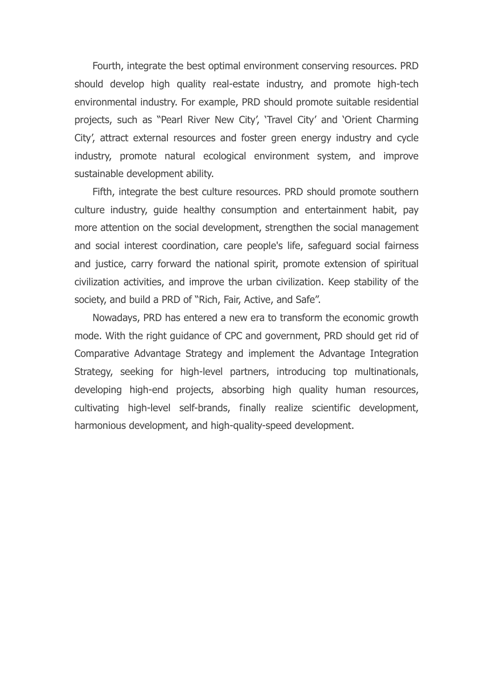Fourth, integrate the best optimal environment conserving resources. PRD should develop high quality real-estate industry, and promote high-tech environmental industry. For example, PRD should promote suitable residential projects, such as "Pearl River New City', 'Travel City' and 'Orient Charming City', attract external resources and foster green energy industry and cycle industry, promote natural ecological environment system, and improve sustainable development ability.

Fifth, integrate the best culture resources. PRD should promote southern culture industry, guide healthy consumption and entertainment habit, pay more attention on the social development, strengthen the social management and social interest coordination, care people's life, safeguard social fairness and justice, carry forward the national spirit, promote extension of spiritual civilization activities, and improve the urban civilization. Keep stability of the society, and build a PRD of "Rich, Fair, Active, and Safe".

Nowadays, PRD has entered a new era to transform the economic growth mode. With the right guidance of CPC and government, PRD should get rid of Comparative Advantage Strategy and implement the Advantage Integration Strategy, seeking for high-level partners, introducing top multinationals, developing high-end projects, absorbing high quality human resources, cultivating high-level self-brands, finally realize scientific development, harmonious development, and high-quality-speed development.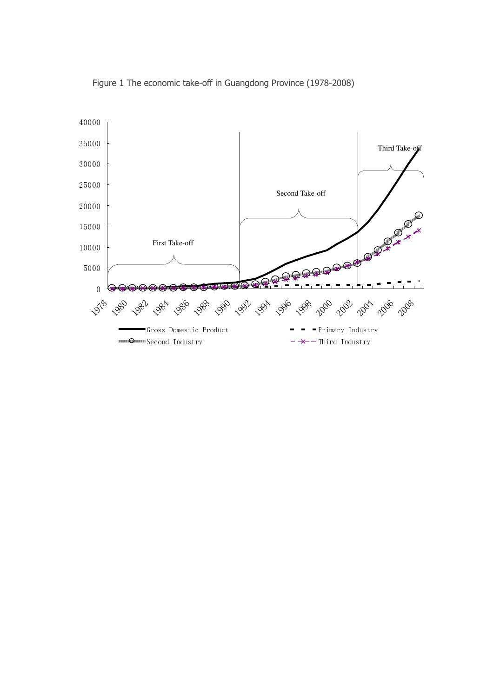

Figure 1 The economic take-off in Guangdong Province (1978-2008)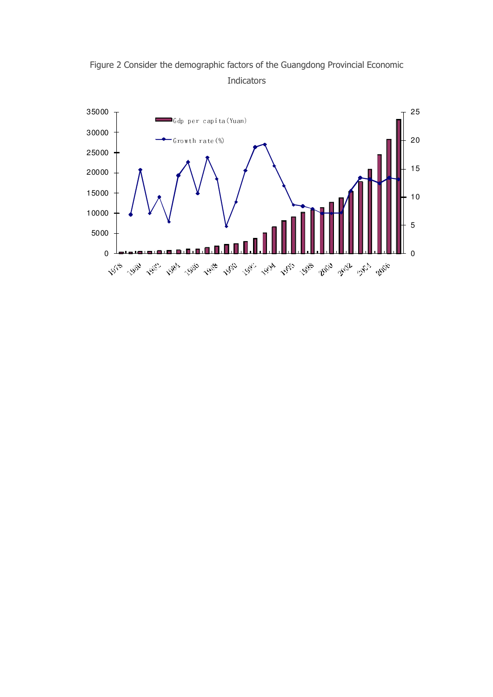

Figure 2 Consider the demographic factors of the Guangdong Provincial Economic Indicators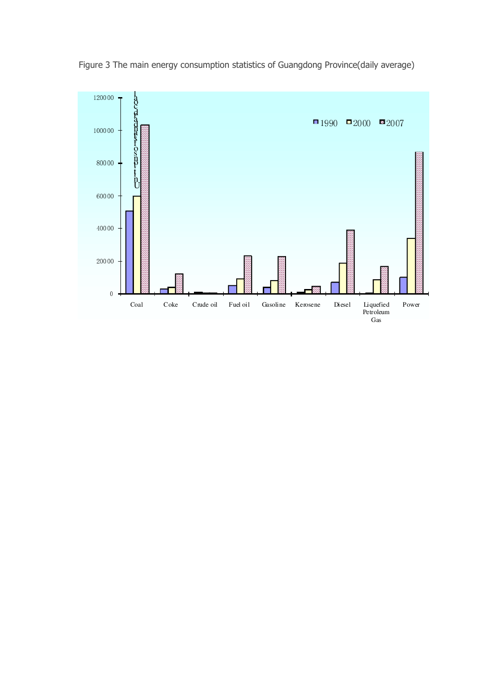

Figure 3 The main energy consumption statistics of Guangdong Province(daily average)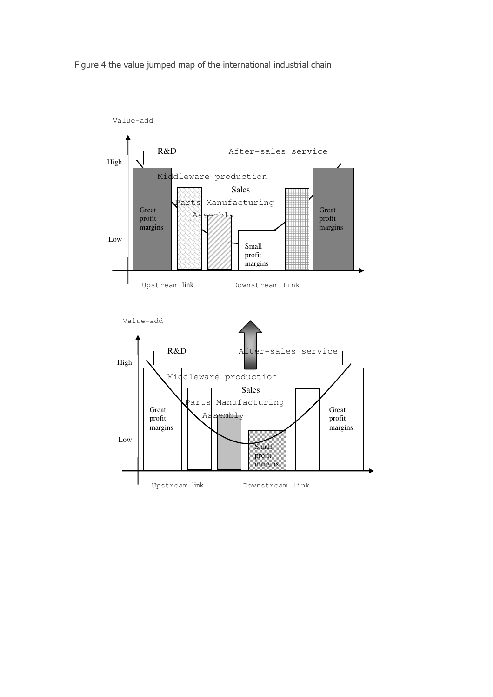Figure 4 the value jumped map of the international industrial chain

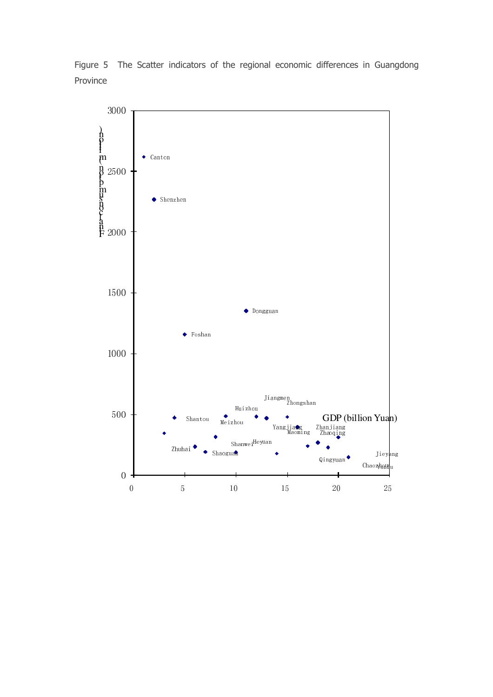Figure 5 The Scatter indicators of the regional economic differences in Guangdong Province

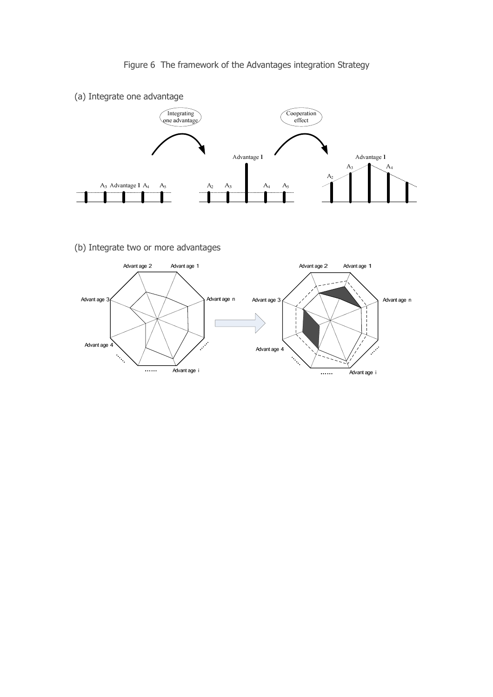Figure 6 The framework of the Advantages integration Strategy



(b) Integrate two or more advantages

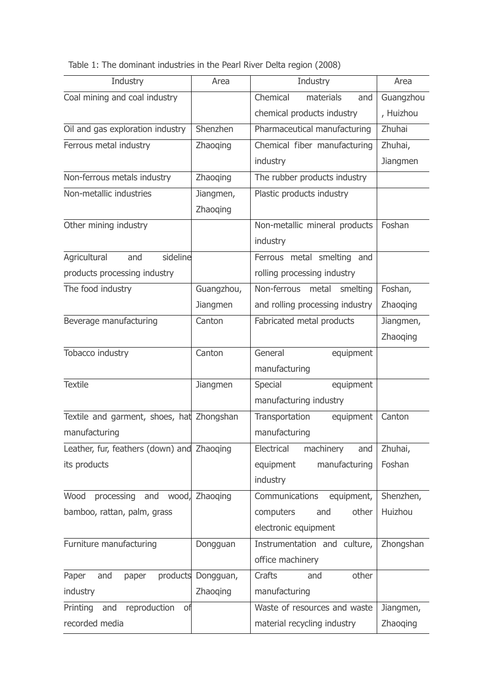|  | Table 1: The dominant industries in the Pearl River Delta region (2008) |  |  |  |
|--|-------------------------------------------------------------------------|--|--|--|
|  |                                                                         |  |  |  |

| Industry                                   | Area               | Industry                        | Area            |
|--------------------------------------------|--------------------|---------------------------------|-----------------|
| Coal mining and coal industry              |                    | Chemical<br>materials<br>and    | Guangzhou       |
|                                            |                    | chemical products industry      | , Huizhou       |
| Oil and gas exploration industry           | Shenzhen           | Pharmaceutical manufacturing    | Zhuhai          |
| Ferrous metal industry                     | Zhaoqing           | Chemical fiber manufacturing    | Zhuhai,         |
|                                            |                    | industry                        | Jiangmen        |
| Non-ferrous metals industry                | Zhaoqing           | The rubber products industry    |                 |
| Non-metallic industries                    | Jiangmen,          | Plastic products industry       |                 |
|                                            | Zhaoqing           |                                 |                 |
| Other mining industry                      |                    | Non-metallic mineral products   | Foshan          |
|                                            |                    | industry                        |                 |
| sideline<br>Agricultural<br>and            |                    | Ferrous metal smelting and      |                 |
| products processing industry               |                    | rolling processing industry     |                 |
| The food industry                          | Guangzhou,         | Non-ferrous metal smelting      | Foshan,         |
|                                            | Jiangmen           | and rolling processing industry | Zhaoqing        |
| Beverage manufacturing                     | Canton             | Fabricated metal products       | Jiangmen,       |
|                                            |                    |                                 | Zhaoging        |
| Tobacco industry                           | Canton             | General<br>equipment            |                 |
|                                            |                    | manufacturing                   |                 |
| <b>Textile</b>                             | Jiangmen           | Special<br>equipment            |                 |
|                                            |                    | manufacturing industry          |                 |
| Textile and garment, shoes, hat Zhongshan  |                    | Transportation<br>equipment     | Canton          |
| manufacturing                              |                    | manufacturing                   |                 |
| Leather, fur, feathers (down) and Zhaoqing |                    | Electrical<br>machinery<br>and  | Zhuhai,         |
| its products                               |                    | equipment<br>manufacturing      | Foshan          |
|                                            |                    | industry                        |                 |
| Wood<br>wood,<br>processing<br>and         | Zhaoging           | Communications<br>equipment,    | Shenzhen,       |
| bamboo, rattan, palm, grass                |                    | computers<br>other<br>and       | Huizhou         |
|                                            |                    | electronic equipment            |                 |
| Furniture manufacturing                    | Dongguan           | Instrumentation and culture,    | Zhongshan       |
|                                            |                    | office machinery                |                 |
| Paper<br>and<br>paper                      | products Dongguan, | other<br>Crafts<br>and          |                 |
| industry                                   | <b>Zhaoging</b>    | manufacturing                   |                 |
| Printing<br>and reproduction of            |                    | Waste of resources and waste    | Jiangmen,       |
| recorded media                             |                    | material recycling industry     | <b>Zhaoging</b> |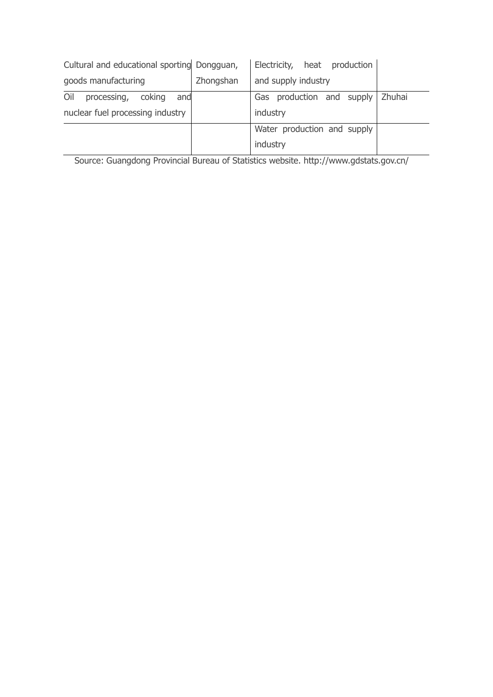| Cultural and educational sporting Dongguan, |           | Electricity, heat production     |  |
|---------------------------------------------|-----------|----------------------------------|--|
| goods manufacturing                         | Zhongshan | and supply industry              |  |
| Oil<br>processing,<br>coking<br>and         |           | Gas production and supply Zhuhai |  |
| nuclear fuel processing industry            |           | industry                         |  |
|                                             |           | Water production and supply      |  |
|                                             |           | industry                         |  |

Source: Guangdong Provincial Bureau of Statistics website. http://www.gdstats.gov.cn/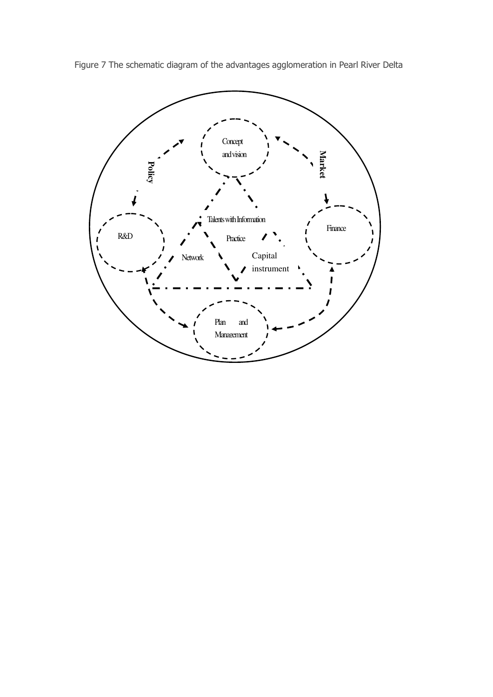

Figure 7 The schematic diagram of the advantages agglomeration in Pearl River Delta